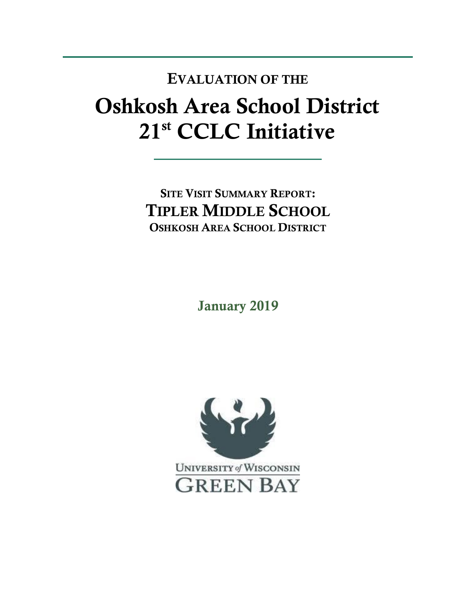## **Oshkosh Area School District 21st CCLC Initiative EVALUATION OF THE**

**SITE VISIT SUMMARY REPORT: TIPLER MIDDLE SCHOOL OSHKOSH AREA SCHOOL DISTRICT** 

**January 2019**

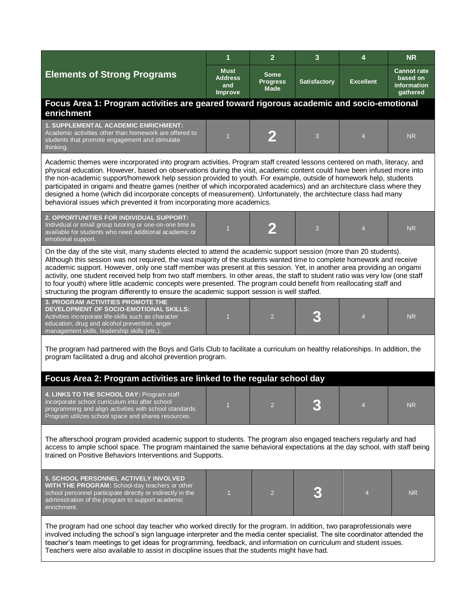|                                                                                                                                                                                                                                                                                                                                                                                                                                                                                                                                                                                                                                                                                                                                  | 1                                               | $\overline{2}$                                | 3                   | 4                | <b>NR</b>                                                 |  |  |  |
|----------------------------------------------------------------------------------------------------------------------------------------------------------------------------------------------------------------------------------------------------------------------------------------------------------------------------------------------------------------------------------------------------------------------------------------------------------------------------------------------------------------------------------------------------------------------------------------------------------------------------------------------------------------------------------------------------------------------------------|-------------------------------------------------|-----------------------------------------------|---------------------|------------------|-----------------------------------------------------------|--|--|--|
| <b>Elements of Strong Programs</b>                                                                                                                                                                                                                                                                                                                                                                                                                                                                                                                                                                                                                                                                                               | <b>Must</b><br>Address<br>and<br><b>Improve</b> | <b>Some</b><br><b>Progress</b><br><b>Made</b> | <b>Satisfactory</b> | <b>Excellent</b> | <b>Cannot rate</b><br>based on<br>information<br>gathered |  |  |  |
| Focus Area 1: Program activities are geared toward rigorous academic and socio-emotional<br>enrichment                                                                                                                                                                                                                                                                                                                                                                                                                                                                                                                                                                                                                           |                                                 |                                               |                     |                  |                                                           |  |  |  |
| <b>1. SUPPLEMENTAL ACADEMIC ENRICHMENT:</b><br>Academic activities other than homework are offered to<br>students that promote engagement and stimulate<br>thinking.                                                                                                                                                                                                                                                                                                                                                                                                                                                                                                                                                             |                                                 |                                               | 3                   | $\overline{4}$   | <b>NR</b>                                                 |  |  |  |
| Academic themes were incorporated into program activities. Program staff created lessons centered on math, literacy, and<br>physical education. However, based on observations during the visit, academic content could have been infused more into<br>the non-academic support/homework help session provided to youth. For example, outside of homework help, students<br>participated in origami and theatre games (neither of which incorporated academics) and an architecture class where they<br>designed a home (which did incorporate concepts of measurement). Unfortunately, the architecture class had many<br>behavioral issues which prevented it from incorporating more academics.                               |                                                 |                                               |                     |                  |                                                           |  |  |  |
| 2. OPPORTUNITIES FOR INDIVIDUAL SUPPORT:<br>Individual or small group tutoring or one-on-one time is<br>available for students who need additional academic or<br>emotional support.                                                                                                                                                                                                                                                                                                                                                                                                                                                                                                                                             | $\overline{1}$                                  | 2                                             | 3                   | $\overline{4}$   | <b>NR</b>                                                 |  |  |  |
| On the day of the site visit, many students elected to attend the academic support session (more than 20 students).<br>Although this session was not required, the vast majority of the students wanted time to complete homework and receive<br>academic support. However, only one staff member was present at this session. Yet, in another area providing an origami<br>activity, one student received help from two staff members. In other areas, the staff to student ratio was very low (one staff<br>to four youth) where little academic concepts were presented. The program could benefit from reallocating staff and<br>structuring the program differently to ensure the academic support session is well staffed. |                                                 |                                               |                     |                  |                                                           |  |  |  |
| <b>3. PROGRAM ACTIVITIES PROMOTE THE</b><br>DEVELOPMENT OF SOCIO-EMOTIONAL SKILLS:<br>Activities incorporate life-skills such as character<br>education, drug and alcohol prevention, anger<br>management skills, leadership skills (etc.)                                                                                                                                                                                                                                                                                                                                                                                                                                                                                       | $\overline{1}$                                  | $\overline{2}$                                |                     | $\overline{4}$   | <b>NR</b>                                                 |  |  |  |
| The program had partnered with the Boys and Girls Club to facilitate a curriculum on healthy relationships. In addition, the<br>program facilitated a drug and alcohol prevention program.                                                                                                                                                                                                                                                                                                                                                                                                                                                                                                                                       |                                                 |                                               |                     |                  |                                                           |  |  |  |
| Focus Area 2: Program activities are linked to the regular school day                                                                                                                                                                                                                                                                                                                                                                                                                                                                                                                                                                                                                                                            |                                                 |                                               |                     |                  |                                                           |  |  |  |
| 4. LINKS TO THE SCHOOL DAY: Program staff<br>incorporate school curriculum into after school<br>programming and align activities with school standards.<br>Program utilizes school space and shares resources.                                                                                                                                                                                                                                                                                                                                                                                                                                                                                                                   |                                                 | $\overline{2}$                                |                     |                  | <b>NR</b>                                                 |  |  |  |
| The afterschool program provided academic support to students. The program also engaged teachers regularly and had<br>access to ample school space. The program maintained the same behavioral expectations at the day school, with staff being<br>trained on Positive Behaviors Interventions and Supports.                                                                                                                                                                                                                                                                                                                                                                                                                     |                                                 |                                               |                     |                  |                                                           |  |  |  |
| 5. SCHOOL PERSONNEL ACTIVELY INVOLVED<br>WITH THE PROGRAM: School-day teachers or other<br>school personnel participate directly or indirectly in the<br>administration of the program to support academic<br>enrichment.                                                                                                                                                                                                                                                                                                                                                                                                                                                                                                        | п                                               | $\overline{2}$                                |                     | 4                | <b>NR</b>                                                 |  |  |  |
| The program had one school day teacher who worked directly for the program. In addition, two paraprofessionals were<br>involved including the school's sign language interpreter and the media center specialist. The site coordinator attended the<br>teacher's team meetings to get ideas for programming, feedback, and information on curriculum and student issues.<br>Teachers were also available to assist in discipline issues that the students might have had.                                                                                                                                                                                                                                                        |                                                 |                                               |                     |                  |                                                           |  |  |  |